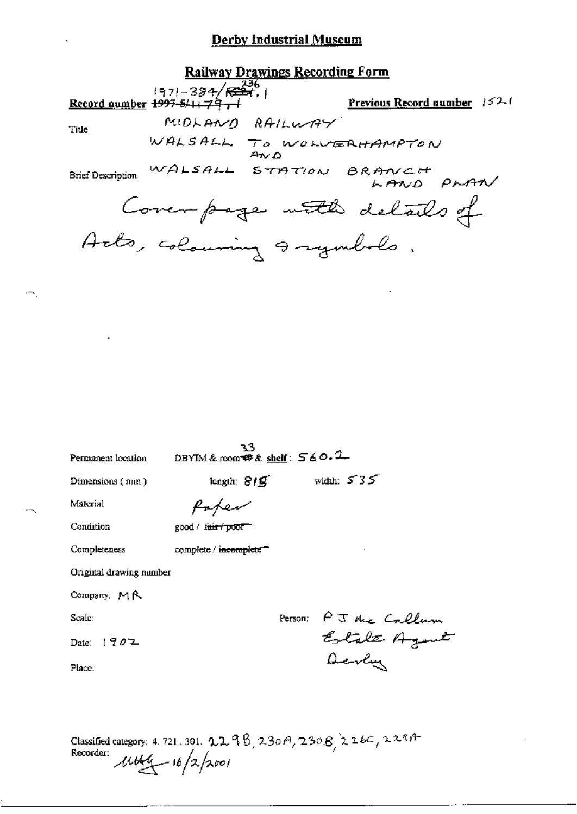### **Railway Drawings Recording Form**

 $\frac{1971-384}{571-384}\sqrt{\frac{236}{521}}$ . Previous Record number 1521 MIDLAND RAILWAY Title WALSALL TO WOLVERHAMPTON WALSALL STATION BRANCH PLAN **Brief Description** Cover page with details of Acts, colouring a symbols.

| Permanent location      | 33<br>DBYIM & room $\mathcal{B}$ & shelf: $560.2$ |                                                |
|-------------------------|---------------------------------------------------|------------------------------------------------|
| Dimensions (mm)         | length: $819$                                     | width: $535$                                   |
| Material                | foten                                             |                                                |
| Condition               | 2000 / <del>fair / pool</del>                     |                                                |
| Completeness            | complete / incomplete <sup>-</sup>                |                                                |
| Original drawing number |                                                   |                                                |
| Company: $M R$          |                                                   |                                                |
| Seale:                  |                                                   |                                                |
| Date: $1902$            |                                                   | Person: PJ the Callum<br>Estate Agent<br>Devly |
| Place:                  |                                                   |                                                |
|                         |                                                   |                                                |
|                         |                                                   |                                                |

Classified category: 4.721.301. 2298, 230A, 230B, 226C, 229A-<br>Recorder:  $\mu$ tb44 - 16/2/2001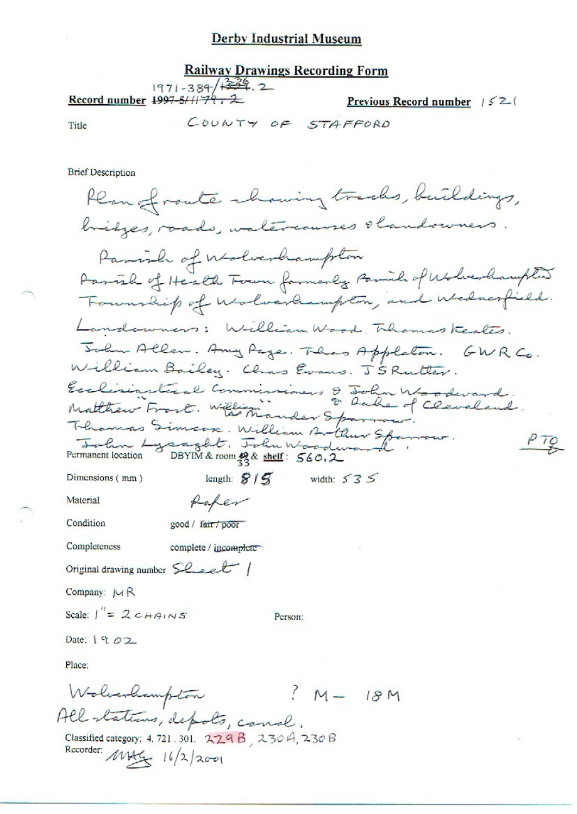### **Railway Drawings Recording Form**  $1971 - 384 + 34.2$ Record number  $1997-511777$ . 2 Previous Record number  $/52$

Title

COUNTY OF STAFFORD

**Brief Description** 

Plan of route chaning tracks, buildings, bridges, roads, watercourses slandowners Parish of Wolverhampton Parish of Health Forum formerly Parish of Wolverhampter Founship of uslocksmpton, and wednesfield. Landowners: William Wood, Thomas Keales. John Allen. Any Page. Thas Appleton. GWRCo. William Bailey. Chas Evans. J'S Rutter. Exclisiastical Commissioners & John Woodward.<br>Matthew Frost. William ander Spannow.<br>Thomas Simcox. William Arthur Spannow.  $P$   $TQ$ Forlin Lysaght. John Woodward. length:  $8/5$  width:  $535$ Dimensions (mm) Material Rafer Condition good / fair / poor Completeness complete / incomplete Original drawing number Sheet Company:  $M R$ Scale:  $\int_{0}^{\pi} = 2cHANSS$ Person: Date: 1902 Place: Wolverhampton  $3M - 18M$ All stations, depots, canal. Classified category: 4.721.301. 229 B, 230 H, 230 B Recorder: MAG 16/2/2001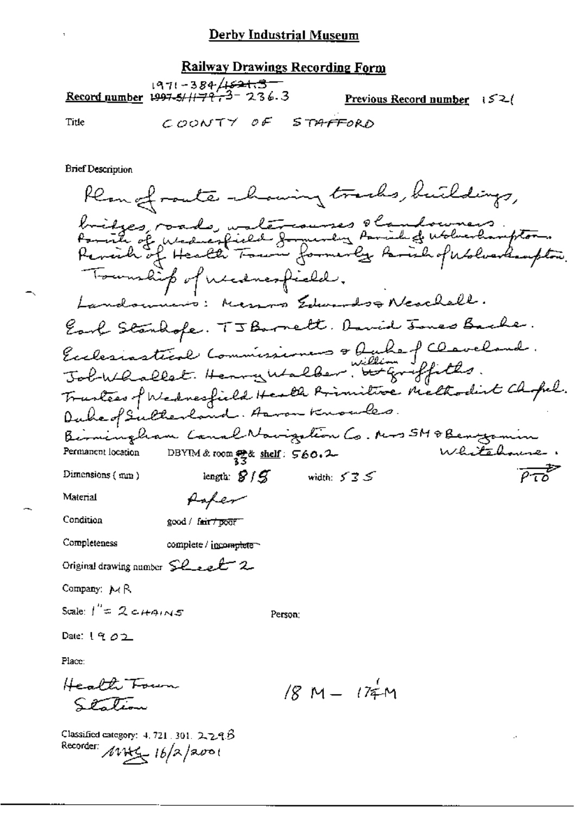#### **Railway Drawings Recording Form**

 $1971 - 384$ / $\sqrt{621.3}$ <br>8.3 - 3.3 - 3.4 1997-5/1179 Previous Record number  $152$ 

COONTY OF STAFFORD

**Brief Description** 

Title

Rean of route channing tracks, buildings, bridges, roads, untercourses olandowners.<br>Parish of widerfield formuly family deblochampton.<br>Paraih of Health Town formerly farish of Wolverhaupton. Township of necessary idd. Landonnino: Messo Edwards & Neochell. Earl Stanhofe. TJ Barnett. David Jones Bache. Exclesiastical Commissioners & bule of Claveland.<br>John adlet. Henry Walber, butgraffiths. Trantees of Wednesfield Health Primitive Methodist Chopel. Duke of Sulterland. Arron Knowles. Beimingham Canal Nouigation Co. Mrs 5M & Bengamin Permanent location DBYIM & room 2 & shelf: 560.2 length:  $8/5$  width:  $535$ Dimensions  $\{$  mm  $\}$ Material Paper Condition good / fair / poor Completeness complete / incomplete Original drawing number  $SL$  event 2. Company:  $\mathcal{M} \mathsf{R}$ Scale:  $I'' = 2c$   $H$ AINS Person: Date:  $1902$ Place: Health Foun  $/8$  M  $/74$  M Station

Classified category:  $4.721.301.2223$ Recorder:  $16/2/2001$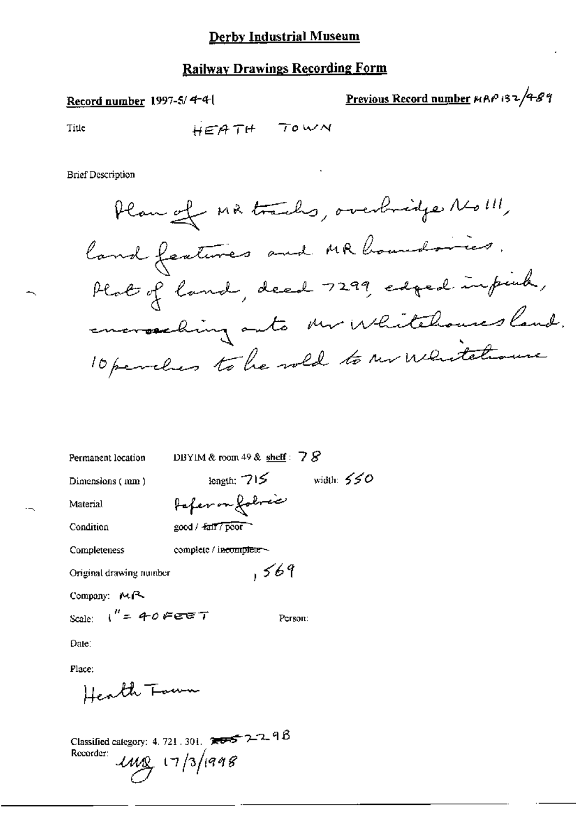### **Railway Drawings Recording Form**

Record number 1997-5/4-4-1

Previous Record number MAP 132/4-89

Title

HEATH TOWN

**Brief Description** 

Plan of MR tracks, overbridge No !!!, land features and MR houndaries. Plat of land, dead 7299, edged infiet, encrosching outs mr Whitehouses land. 10 perches to be weld to ur whitehouse

| Permanent location      | DBYIM & room 49 & shelf: $78$ |
|-------------------------|-------------------------------|
| Dimensions (mm)         | width: $550$<br>length: $715$ |
| Material                | Paper on Johnse               |
| Condition               | good / fair / poor            |
| Completeness            | complete / incomplete ~       |
| Original drawing number | ,569                          |
| Company: $M2$           |                               |
| Scale: $1'' = 40$ FEET  | Person:                       |
| Date∶                   |                               |

Place:

Health Town

Classified category: 4, 721, 301,  $7.005$   $2.2$   $9B$ Recorder:  $11/1998$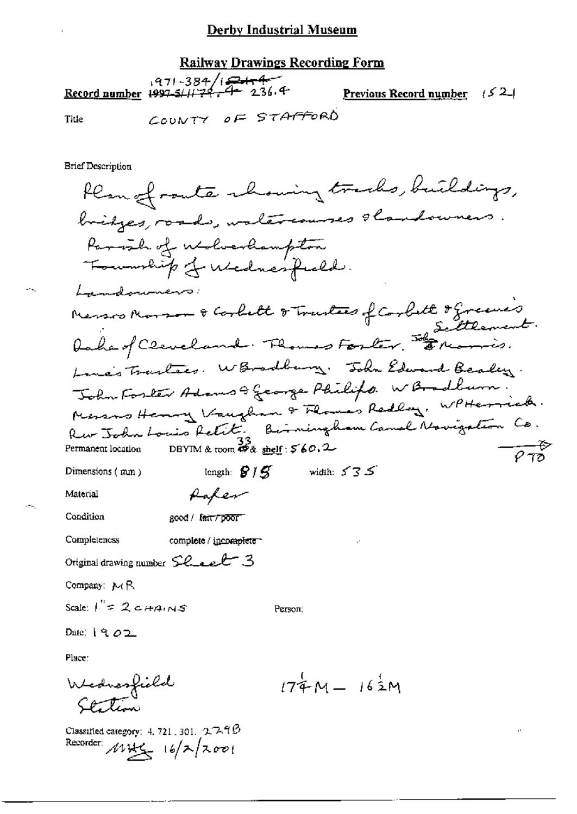### **Railway Drawings Recording Form**

971-384/15-12<br>Record number 1997-5/11-79-24-236.4 Previous Record number  $(5, 2)$ COUNTY OF STAFFORD Title

**Brief Description** 

Plan of route chowing tracks, buildings, bridges, roads, walercourses slandowners Parish of Molverhampton Lamdonners Menson Morror & Corbett & Trustees of Corbett & Greene's Line's Trailers. W Bradbury. John Edward Bealey. John Foster Adams & George Philips. W Bradburn. Messons Henry Vaughan & Flowe's Redling, WPHErrick. Rev John Louis Retite. Birningham Canal Novigation Co. DBYIM & room  $\mathcal{B}_{\&}$  shelf :  $\mathcal{S}_{6}$  0.2 Permanent location length:  $\mathcal{G}/\mathcal{G}$  width:  $535$ Dimensions (mm) Paper Material Condition good / fair/poor **Completencss** complete / incomplete Original drawing number  $SL$  and  $C$  3 Company: MR Scale:  $I'' = 2c+Ans$ Person: Date:  $19.02$ Place: Wednesfield<br>Stetion  $174M - 162M$ 

Classified category: 4, 721, 301,  $27.99$ Recorder:  $16/7/200$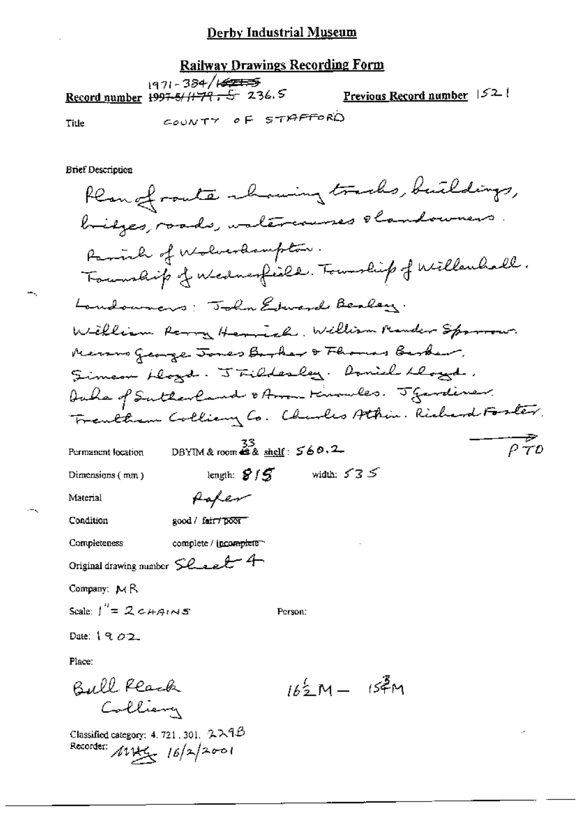# **Railway Drawings Recording Form**

|       | $197 - 384 / 1277$<br>Record number 199 <del>7-5/1179, S</del> 236.5 | <u>Previous Record number</u> $ 52 $ |  |
|-------|----------------------------------------------------------------------|--------------------------------------|--|
| Title | COUNTY OF STAFFORD                                                   |                                      |  |

Title

÷.,

 $\sim$ 

**Brief Description** 

| Kempfronte rhowing tracks, buildings,                                                                                                      |           |
|--------------------------------------------------------------------------------------------------------------------------------------------|-----------|
| bridges, roads, untercourses obandowners.                                                                                                  |           |
| Parish of Wolverdampton.                                                                                                                   |           |
| Township of Mednesfield. Township of Willenhall.                                                                                           |           |
| Londowners: Tohn Edward Bealey.                                                                                                            |           |
| William Rarry Herrich, William Mander Sparrow.                                                                                             |           |
| Recovers George Jones Borker & Fhomas Berker,                                                                                              |           |
| Simeon blogd. J Fildesley. Doniel hlogd.                                                                                                   |           |
| Author of Sutherland & Arom Kinowles. J Gentiner.                                                                                          |           |
| Trentham Colliany Co. Charles Athin. Richard Foster.                                                                                       |           |
| DBYIM & room $\stackrel{33}{\bullet}$ & shelf: $\stackrel{5}{\bullet}$ & 0.2<br>Permanent location                                         | $\rho$ 70 |
| width: $\ensuremath{\mathcal{S}}\xspace\ensuremath{\mathcal{S}}\xspace\ensuremath{\mathcal{S}}\xspace$<br>length: $8/5$<br>Dimensions (mm) |           |
| foter<br>Material                                                                                                                          |           |
| good / fair / poor<br>Condition                                                                                                            |           |
| complete / incomplete<br>Completeness                                                                                                      |           |
| Original drawing number Sleet 4                                                                                                            |           |
| Company: MR                                                                                                                                |           |
| Scale: $\int_{0}^{n} = 2c + A_{1} \wedge S$<br>Person:                                                                                     |           |
| Date: $19.02$                                                                                                                              |           |
| Place:                                                                                                                                     |           |
| $162M - 154M$<br>Bull Reach                                                                                                                |           |
|                                                                                                                                            |           |

 $\mathcal{A}$ 

Classified category: 4.721.301. 229B<br>Recorder:  $\mu$ Vity  $16/2$ 001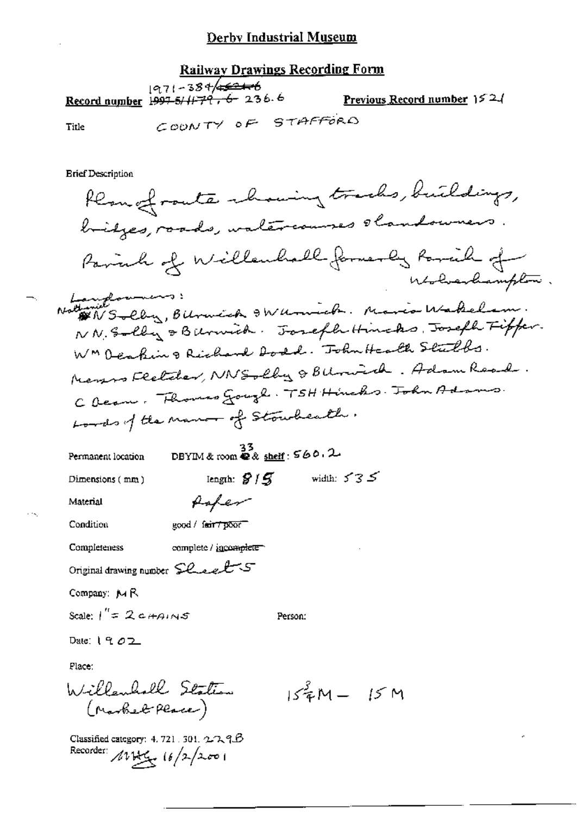| <u>Railway Drawings Recording Form</u> |                                                                    |  |  |                                                                                     |  |
|----------------------------------------|--------------------------------------------------------------------|--|--|-------------------------------------------------------------------------------------|--|
|                                        | 1971-384/ <del>4521-6</del><br>Record number 1997-5/11-79, 6-236.6 |  |  | Previous Record number $152/$                                                       |  |
| Title                                  | COONTY OF STAFFORD                                                 |  |  |                                                                                     |  |
| <b>Erief Description</b>               |                                                                    |  |  | Kempfronte chairing tracks, buildings,<br>bridges, roads, walercourses slandowners. |  |
|                                        |                                                                    |  |  |                                                                                     |  |

Pariah of Willenhalk formerly Parcell of Wholesandrampton. Hanglowners:<br>Nathanie Solly, Bilomick & Wilmich. Mario Wakelam. NN. Solly & Burnich. Joseph Hinchs, Joseph Fiffer. WMDeaping Richard Dodd. John Health Stulls. Menson Fletcher, NNSolly & BUnich. Adam Road. C Dean. Flowers Gough. TSH Hinchs. John Adams. Lords of the name of Stoucheath.  $\frac{33}{28 \text{ m} \cdot \text{s}}$  DBYIM & room  $\mathbf{\&}$  & shelf:  $\mathbf{\&}$  60.2 Permanent location length:  $8/5$  width:  $535$ Dimensions (mm) fafer Material Condition good / fair 7 poor Completeness complete / incomplete Original drawing number Sheels Company: MR Scale:  $1'' = 2c+4.05$ Person: Date:  $1902$ Place: Willanholl Station  $15^{3}$ M -  $15M$ (Market Place) Classified category: 4.721.301.2239B Recorder: 1814 (6/2/2001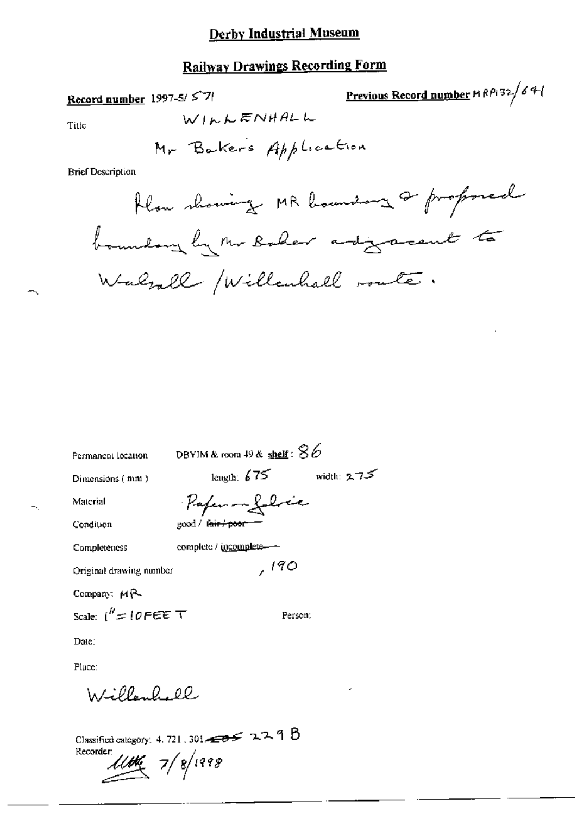# **Railway Drawings Recording Form**

Record number 1997-5/57/

Previous Record number 
$$
MRP/32/64
$$

Title

÷,

 $-\sqrt{2}$ 

**Brief Description** 

| Permanent location      | DBYIM & room 49 & <u>shelf</u> : $86$ |            |
|-------------------------|---------------------------------------|------------|
| Dimensions (mm)         | length: $675$                         | width: 275 |
| Material                | Paper - Lobric                        |            |
| Condition               | good / f <del>air / poor =</del>      |            |
| Completeness            | complete / incomplete-                |            |
| Original drawing number | ,190                                  |            |
| Company: $M\rightarrow$ |                                       |            |
| Scale: $1'' = 10$ FEE T | Person.                               |            |
| Date.                   |                                       |            |
| Place:                  |                                       |            |

Willenhall

Classified category: 4, 721, 301  $\rightarrow$  229 B  $\frac{1}{4}$  7/8/1998 Recorder: يسييع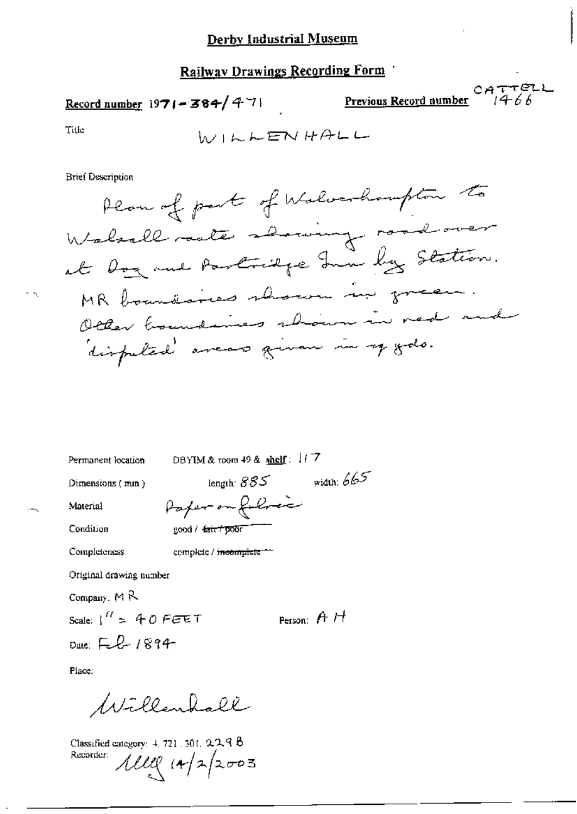# **Railway Drawings Recording Form**

### Record number  $1971 - 384 / 471$

Previous Record number

CATTELL

 $\sim$ 

Title

۸Ñ,

$$
W \cup W \vdash E W \not\vdash A \vdash U
$$

Brief Description

Permanent location

DBYIM & toom 49 & shelf: 117

Dimensions (min)

length:  $885$  width:  $665$ 

Condition

Material

Paper on following good / fair + poor

Completeness

complete / incomplete

Original drawing number

Company,  $M \mathcal{R}$ 

Scale:  $1'' = 40$  FEET Date: Feb 1894

Person:  $A H$ 

Place:

Willenhall

Classified category: 4, 721, 301, 229 8 Recorder:  $1110 (14)2003$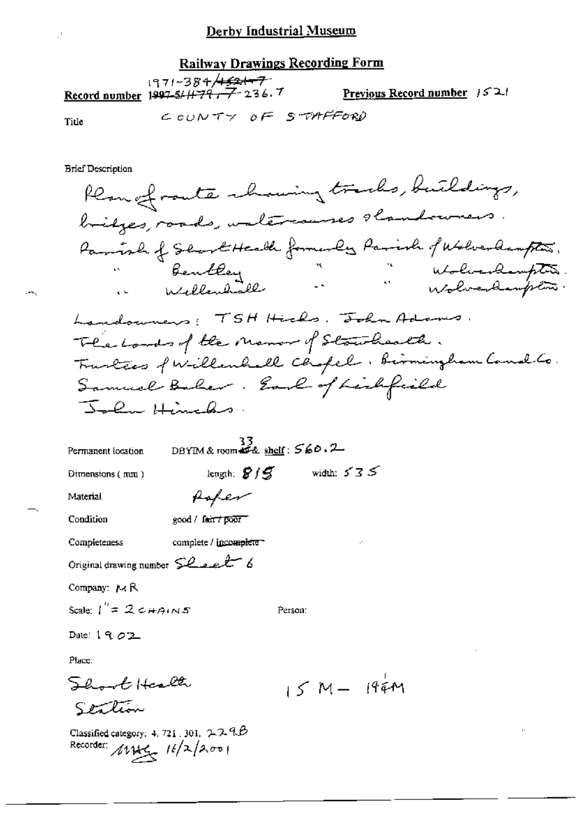# **Railway Drawings Recording Form**

|       | --71-384 <del>/1621-7</del><br>Record number $1997 - 51 + 79 - 7 - 236$ . 7 | <b>Previous Record number</b> $321$ |  |
|-------|-----------------------------------------------------------------------------|-------------------------------------|--|
| Title |                                                                             | COUNTY OF STAFFORD                  |  |

**Brief Description** 

Plan of route chaning tracks, buildings, bridges, roads, watercourses shandowners. Parish of School Health formerly Parish of Wolverlampton.<br>Bentley<br>in Willembrald in Molverlampton Landonners: TSH Hicks, John Adams. The Londo of the Monor of Standards. Trustees f Willenhall Chopel. Birmingham Canal Co. Samuel Baher. Earl of Lichfield John Hinels. DBYIM & room  $\frac{33}{456}$  shelf:  $560.2$ Permanent location length:  $8/5$  width:  $535$ Dimensions (mm) foter Material Condition good / fair / poor complete / incomplete Completeness Original drawing number Sealt Company: MR Scale:  $1'' = 2c$   $\#A$ Person: Date:  $19.02$ Place: Short Harlt  $15 M - 194 M$ Station

Classified category: 4, 721, 301,  $224B$ Recorder:  $16/2/200$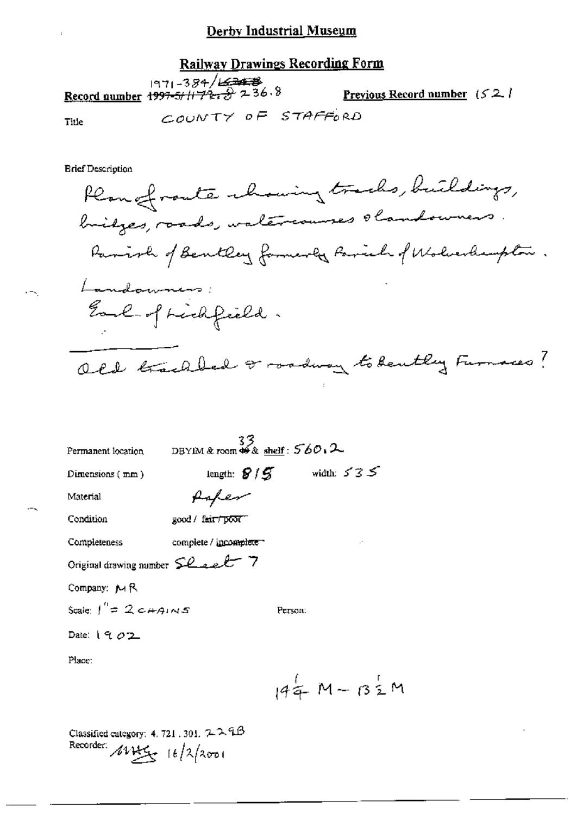### Railway Drawings Recording Form

|       | 971-384/ <del>22438</del><br>Record number 1997-5/1172-32 236.8 | <b>Previous Record number</b> $(52, 1)$ |  |
|-------|-----------------------------------------------------------------|-----------------------------------------|--|
| Title | COUNTY OF STAFFORD                                              |                                         |  |

Title

**Brief Description** 

Plan of route chowing tracks, buildings, bridges, roads, watercourses obambourners. Parish of Bentley formerly Parish of Wolverlampton. Landamners: Earl of Lichfield. Old trackled or roadway to bently Furnaces?

| Permanent location              | $33$<br>DBYIM & room $46$ & shelf: $560.2$ |         |                   |    |  |
|---------------------------------|--------------------------------------------|---------|-------------------|----|--|
| Dimensions (mm)                 | length: $8/5$ width: $535$                 |         |                   |    |  |
| Material                        |                                            |         |                   |    |  |
| Condition                       | good / fair/poor <sup>--</sup>             |         |                   |    |  |
| Completeness                    | complete / incomplete                      |         |                   | г. |  |
| Original drawing number Sheet 7 |                                            |         |                   |    |  |
| Company: MR                     |                                            |         |                   |    |  |
| Scale: $I'' = 2c+Ans \leq$      |                                            | Person: |                   |    |  |
| Date: $1902$                    |                                            |         |                   |    |  |
| Place:                          |                                            |         |                   |    |  |
|                                 |                                            |         | $144$ M – $132$ M |    |  |

Classified category: 4, 721, 301,  $2.2.9B$ Recorder:  $4445$   $16/2$   $2001$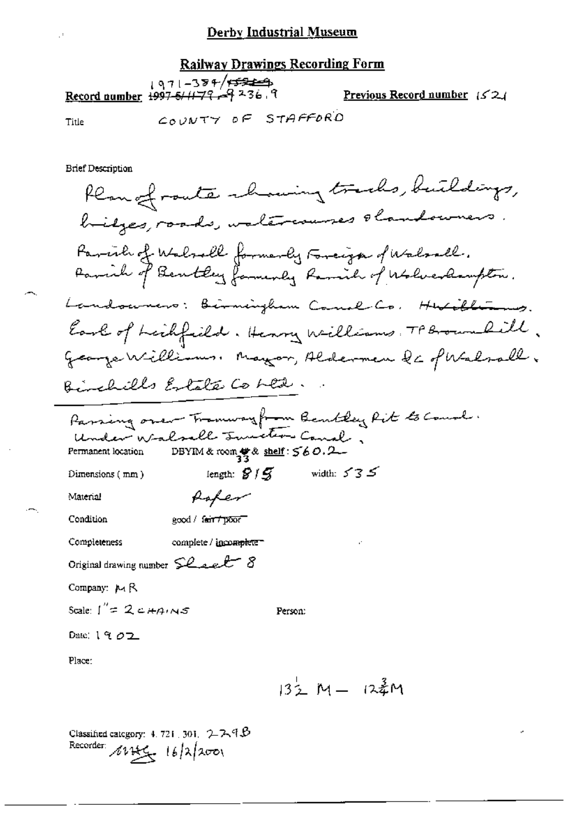#### **Railway Drawings Recording Form**

| $1971 - 384$ /+52 = 2-1<br>Pecord number 1997-5/11-79 | Previous Record number $(52)$ |  |
|-------------------------------------------------------|-------------------------------|--|
|                                                       |                               |  |

Title

COUNTY OF STAFFORD

**Brief Description** 

Plan of route chairing tracks, buildings, bilges, roads, waltercourses obandowners Parcile of Walsall formerly Farciza of Walsall.<br>Parcile of Bentley faminaly Ramich of Wolverdaupton. Landowners: Birmingham Canal Co. Hubiblizing. Earl of Leichfield. Henry Williams, TP Brown Rill. George Williams, Mayor, Aldermen de of Walsall. Binchills Estate Costed. Parsing over Tramway from Bentley Rit to Count. Under Walsell Smitter Canal, DBYIM & room 雙& shelf: 560.2 Permanent location length:  $8/5$  width:  $535$ Dimensions (mm) foter Material Condition good / fair / poor Completeness complete / incomplete-Original drawing number  $\mathcal{L}_{\text{a}}$ Company: M R Scale:  $1''=2c+4ins$ Person: Date:  $1902$ Place:  $13\frac{1}{2}$  M  $-$  12  $\frac{3}{4}$ M

Classified category:  $4.721,301, 2.7.4B$ Recorder:  $16/2/200$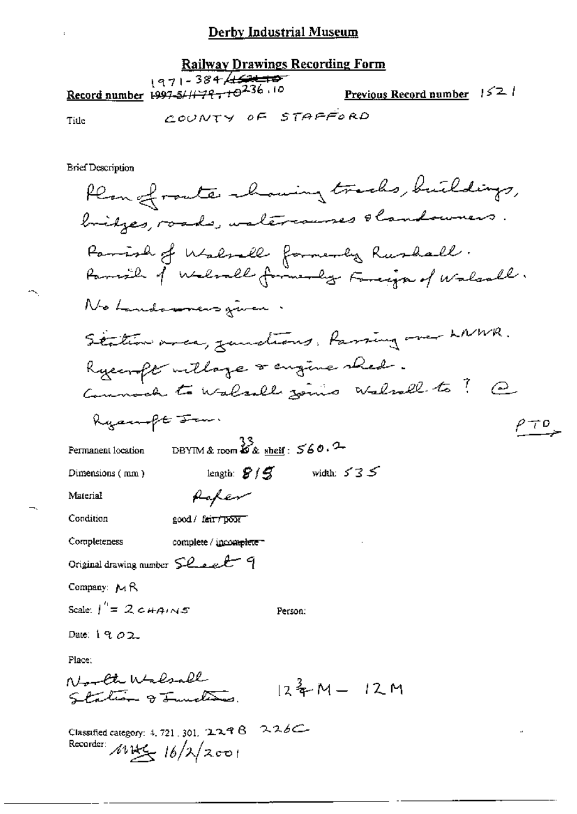| <b>Railway Drawings Recording Form</b> |                                                                                         |  |  |                                      |  |
|----------------------------------------|-----------------------------------------------------------------------------------------|--|--|--------------------------------------|--|
|                                        | - 1971 - 384 <del>/ 1521 - 10</del><br>10. Record number 1997-5/11-79-10 <sup>236</sup> |  |  | <u>Previous Record number</u> $1521$ |  |
| Title                                  | COUNTY OF STAFFORD                                                                      |  |  |                                      |  |

**Brief Description** 

 $\ddot{\phantom{a}}$ 

 $\sim$ 

 $\overline{\phantom{a}}$